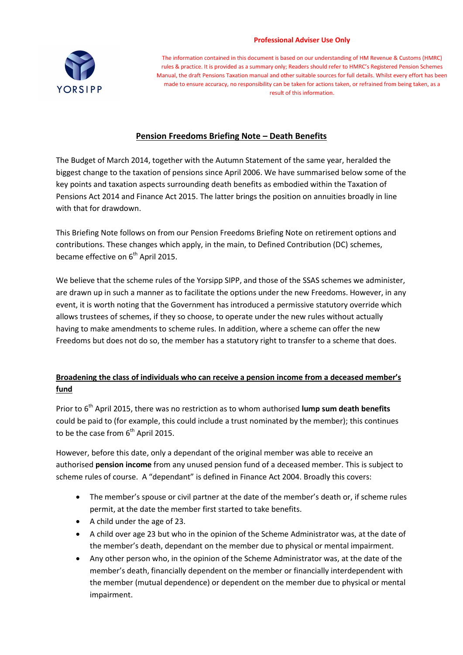#### **Professional Adviser Use Only**



The information contained in this document is based on our understanding of HM Revenue & Customs (HMRC) rules & practice. It is provided as a summary only; Readers should refer to HMRC's Registered Pension Schemes Manual, the draft Pensions Taxation manual and other suitable sources for full details. Whilst every effort has been made to ensure accuracy, no responsibility can be taken for actions taken, or refrained from being taken, as a result of this information.

# **Pension Freedoms Briefing Note – Death Benefits**

The Budget of March 2014, together with the Autumn Statement of the same year, heralded the biggest change to the taxation of pensions since April 2006. We have summarised below some of the key points and taxation aspects surrounding death benefits as embodied within the Taxation of Pensions Act 2014 and Finance Act 2015. The latter brings the position on annuities broadly in line with that for drawdown.

This Briefing Note follows on from our Pension Freedoms Briefing Note on retirement options and contributions. These changes which apply, in the main, to Defined Contribution (DC) schemes, became effective on  $6<sup>th</sup>$  April 2015.

We believe that the scheme rules of the Yorsipp SIPP, and those of the SSAS schemes we administer, are drawn up in such a manner as to facilitate the options under the new Freedoms. However, in any event, it is worth noting that the Government has introduced a permissive statutory override which allows trustees of schemes, if they so choose, to operate under the new rules without actually having to make amendments to scheme rules. In addition, where a scheme can offer the new Freedoms but does not do so, the member has a statutory right to transfer to a scheme that does.

# **Broadening the class of individuals who can receive a pension income from a deceased member's fund**

Prior to 6<sup>th</sup> April 2015, there was no restriction as to whom authorised **lump sum death benefits** could be paid to (for example, this could include a trust nominated by the member); this continues to be the case from  $6<sup>th</sup>$  April 2015.

However, before this date, only a dependant of the original member was able to receive an authorised **pension income** from any unused pension fund of a deceased member. This is subject to scheme rules of course. A "dependant" is defined in Finance Act 2004. Broadly this covers:

- The member's spouse or civil partner at the date of the member's death or, if scheme rules permit, at the date the member first started to take benefits.
- A child under the age of 23.
- A child over age 23 but who in the opinion of the Scheme Administrator was, at the date of the member's death, dependant on the member due to physical or mental impairment.
- Any other person who, in the opinion of the Scheme Administrator was, at the date of the member's death, financially dependent on the member or financially interdependent with the member (mutual dependence) or dependent on the member due to physical or mental impairment.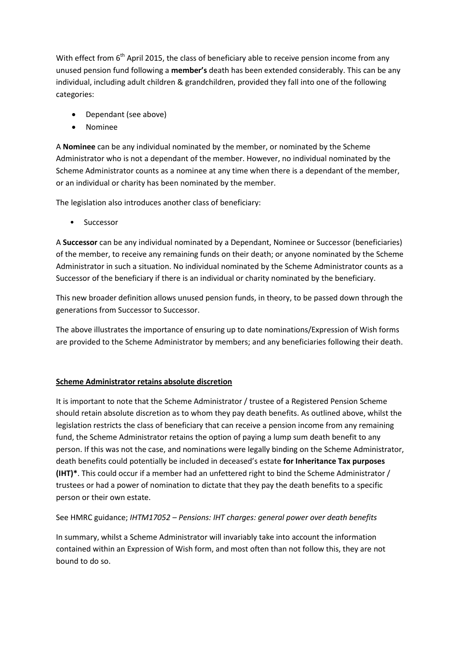With effect from  $6<sup>th</sup>$  April 2015, the class of beneficiary able to receive pension income from any unused pension fund following a **member's** death has been extended considerably. This can be any individual, including adult children & grandchildren, provided they fall into one of the following categories:

- Dependant (see above)
- Nominee

A **Nominee** can be any individual nominated by the member, or nominated by the Scheme Administrator who is not a dependant of the member. However, no individual nominated by the Scheme Administrator counts as a nominee at any time when there is a dependant of the member, or an individual or charity has been nominated by the member.

The legislation also introduces another class of beneficiary:

**Successor** 

A **Successor** can be any individual nominated by a Dependant, Nominee or Successor (beneficiaries) of the member, to receive any remaining funds on their death; or anyone nominated by the Scheme Administrator in such a situation. No individual nominated by the Scheme Administrator counts as a Successor of the beneficiary if there is an individual or charity nominated by the beneficiary.

This new broader definition allows unused pension funds, in theory, to be passed down through the generations from Successor to Successor.

The above illustrates the importance of ensuring up to date nominations/Expression of Wish forms are provided to the Scheme Administrator by members; and any beneficiaries following their death.

### **Scheme Administrator retains absolute discretion**

It is important to note that the Scheme Administrator / trustee of a Registered Pension Scheme should retain absolute discretion as to whom they pay death benefits. As outlined above, whilst the legislation restricts the class of beneficiary that can receive a pension income from any remaining fund, the Scheme Administrator retains the option of paying a lump sum death benefit to any person. If this was not the case, and nominations were legally binding on the Scheme Administrator, death benefits could potentially be included in deceased's estate **for Inheritance Tax purposes (IHT)\***. This could occur if a member had an unfettered right to bind the Scheme Administrator / trustees or had a power of nomination to dictate that they pay the death benefits to a specific person or their own estate.

### See HMRC guidance; *IHTM17052 – Pensions: IHT charges: general power over death benefits*

In summary, whilst a Scheme Administrator will invariably take into account the information contained within an Expression of Wish form, and most often than not follow this, they are not bound to do so.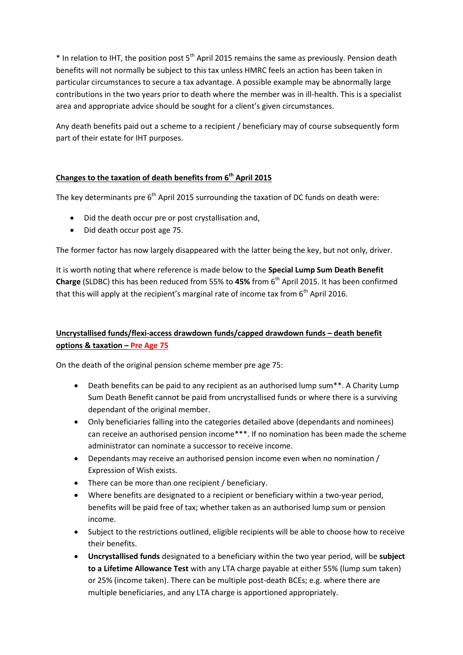$*$  In relation to IHT, the position post 5<sup>th</sup> April 2015 remains the same as previously. Pension death benefits will not normally be subject to this tax unless HMRC feels an action has been taken in particular circumstances to secure a tax advantage. A possible example may be abnormally large contributions in the two years prior to death where the member was in ill-health. This is a specialist area and appropriate advice should be sought for a client's given circumstances.

Any death benefits paid out a scheme to a recipient / beneficiary may of course subsequently form part of their estate for IHT purposes.

### **Changes to the taxation of death benefits from 6 th April 2015**

The key determinants pre  $6<sup>th</sup>$  April 2015 surrounding the taxation of DC funds on death were:

- Did the death occur pre or post crystallisation and,
- Did death occur post age 75.

The former factor has now largely disappeared with the latter being the key, but not only, driver.

It is worth noting that where reference is made below to the **Special Lump Sum Death Benefit Charge** (SLDBC) this has been reduced from 55% to 45% from 6<sup>th</sup> April 2015. It has been confirmed that this will apply at the recipient's marginal rate of income tax from  $6<sup>th</sup>$  April 2016.

## **Uncrystallised funds/flexi-access drawdown funds/capped drawdown funds – death benefit options & taxation – Pre Age 75**

On the death of the original pension scheme member pre age 75:

- Death benefits can be paid to any recipient as an authorised lump sum\*\*. A Charity Lump Sum Death Benefit cannot be paid from uncrystallised funds or where there is a surviving dependant of the original member.
- Only beneficiaries falling into the categories detailed above (dependants and nominees) can receive an authorised pension income\*\*\*. If no nomination has been made the scheme administrator can nominate a successor to receive income.
- Dependants may receive an authorised pension income even when no nomination / Expression of Wish exists.
- There can be more than one recipient / beneficiary.
- Where benefits are designated to a recipient or beneficiary within a two-year period, benefits will be paid free of tax; whether taken as an authorised lump sum or pension income.
- Subject to the restrictions outlined, eligible recipients will be able to choose how to receive their benefits.
- **Uncrystallised funds** designated to a beneficiary within the two year period, will be **subject to a Lifetime Allowance Test** with any LTA charge payable at either 55% (lump sum taken) or 25% (income taken). There can be multiple post-death BCEs; e.g. where there are multiple beneficiaries, and any LTA charge is apportioned appropriately.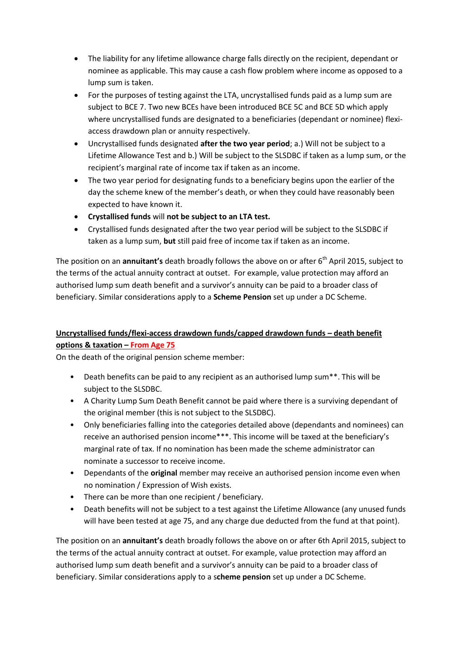- The liability for any lifetime allowance charge falls directly on the recipient, dependant or nominee as applicable. This may cause a cash flow problem where income as opposed to a lump sum is taken.
- For the purposes of testing against the LTA, uncrystallised funds paid as a lump sum are subject to BCE 7. Two new BCEs have been introduced BCE 5C and BCE 5D which apply where uncrystallised funds are designated to a beneficiaries (dependant or nominee) flexiaccess drawdown plan or annuity respectively.
- Uncrystallised funds designated **after the two year period**; a.) Will not be subject to a Lifetime Allowance Test and b.) Will be subject to the SLSDBC if taken as a lump sum, or the recipient's marginal rate of income tax if taken as an income.
- The two year period for designating funds to a beneficiary begins upon the earlier of the day the scheme knew of the member's death, or when they could have reasonably been expected to have known it.
- **Crystallised funds** will **not be subject to an LTA test.**
- Crystallised funds designated after the two year period will be subject to the SLSDBC if taken as a lump sum, **but** still paid free of income tax if taken as an income.

The position on an **annuitant's** death broadly follows the above on or after 6<sup>th</sup> April 2015, subject to the terms of the actual annuity contract at outset. For example, value protection may afford an authorised lump sum death benefit and a survivor's annuity can be paid to a broader class of beneficiary. Similar considerations apply to a **Scheme Pension** set up under a DC Scheme.

# **Uncrystallised funds/flexi-access drawdown funds/capped drawdown funds – death benefit options & taxation – From Age 75**

On the death of the original pension scheme member:

- Death benefits can be paid to any recipient as an authorised lump sum\*\*. This will be subject to the SLSDBC.
- A Charity Lump Sum Death Benefit cannot be paid where there is a surviving dependant of the original member (this is not subject to the SLSDBC).
- Only beneficiaries falling into the categories detailed above (dependants and nominees) can receive an authorised pension income\*\*\*. This income will be taxed at the beneficiary's marginal rate of tax. If no nomination has been made the scheme administrator can nominate a successor to receive income.
- Dependants of the **original** member may receive an authorised pension income even when no nomination / Expression of Wish exists.
- There can be more than one recipient / beneficiary.
- Death benefits will not be subject to a test against the Lifetime Allowance (any unused funds will have been tested at age 75, and any charge due deducted from the fund at that point).

The position on an **annuitant's** death broadly follows the above on or after 6th April 2015, subject to the terms of the actual annuity contract at outset. For example, value protection may afford an authorised lump sum death benefit and a survivor's annuity can be paid to a broader class of beneficiary. Similar considerations apply to a s**cheme pension** set up under a DC Scheme.